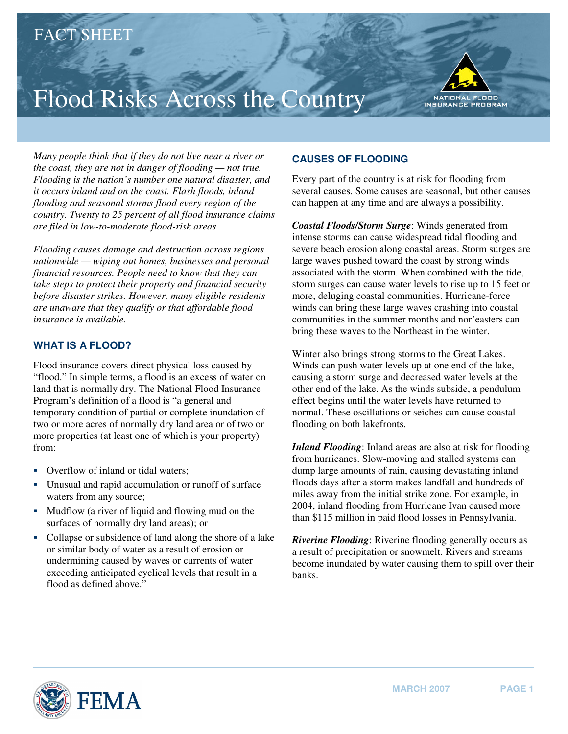## Flood Risks Across the Country



*Many people think that if they do not live near a river or the coast, they are not in danger of flooding — not true. Flooding is the nation's number one natural disaster, and it occurs inland and on the coast. Flash floods, inland flooding and seasonal storms flood every region of the country. Twenty to 25 percent of all flood insurance claims are filed in low-to-moderate flood-risk areas.* 

*Flooding causes damage and destruction across regions nationwide — wiping out homes, businesses and personal financial resources. People need to know that they can take steps to protect their property and financial security before disaster strikes. However, many eligible residents are unaware that they qualify or that affordable flood insurance is available.* 

## **WHAT IS A FLOOD?**

Flood insurance covers direct physical loss caused by "flood." In simple terms, a flood is an excess of water on land that is normally dry. The National Flood Insurance Program's definition of a flood is "a general and temporary condition of partial or complete inundation of two or more acres of normally dry land area or of two or more properties (at least one of which is your property) from:

- Overflow of inland or tidal waters;
- � Unusual and rapid accumulation or runoff of surface waters from any source;
- Mudflow (a river of liquid and flowing mud on the surfaces of normally dry land areas); or
- � Collapse or subsidence of land along the shore of a lake or similar body of water as a result of erosion or undermining caused by waves or currents of water exceeding anticipated cyclical levels that result in a flood as defined above."

## **CAUSES OF FLOODING**

Every part of the country is at risk for flooding from several causes. Some causes are seasonal, but other causes can happen at any time and are always a possibility.

*Coastal Floods/Storm Surge*: Winds generated from intense storms can cause widespread tidal flooding and severe beach erosion along coastal areas. Storm surges are large waves pushed toward the coast by strong winds associated with the storm. When combined with the tide, storm surges can cause water levels to rise up to 15 feet or more, deluging coastal communities. Hurricane-force winds can bring these large waves crashing into coastal communities in the summer months and nor'easters can bring these waves to the Northeast in the winter.

Winter also brings strong storms to the Great Lakes. Winds can push water levels up at one end of the lake, causing a storm surge and decreased water levels at the other end of the lake. As the winds subside, a pendulum effect begins until the water levels have returned to normal. These oscillations or seiches can cause coastal flooding on both lakefronts.

*Inland Flooding*: Inland areas are also at risk for flooding from hurricanes. Slow-moving and stalled systems can dump large amounts of rain, causing devastating inland floods days after a storm makes landfall and hundreds of miles away from the initial strike zone. For example, in 2004, inland flooding from Hurricane Ivan caused more than \$115 million in paid flood losses in Pennsylvania.

*Riverine Flooding*: Riverine flooding generally occurs as a result of precipitation or snowmelt. Rivers and streams become inundated by water causing them to spill over their banks.